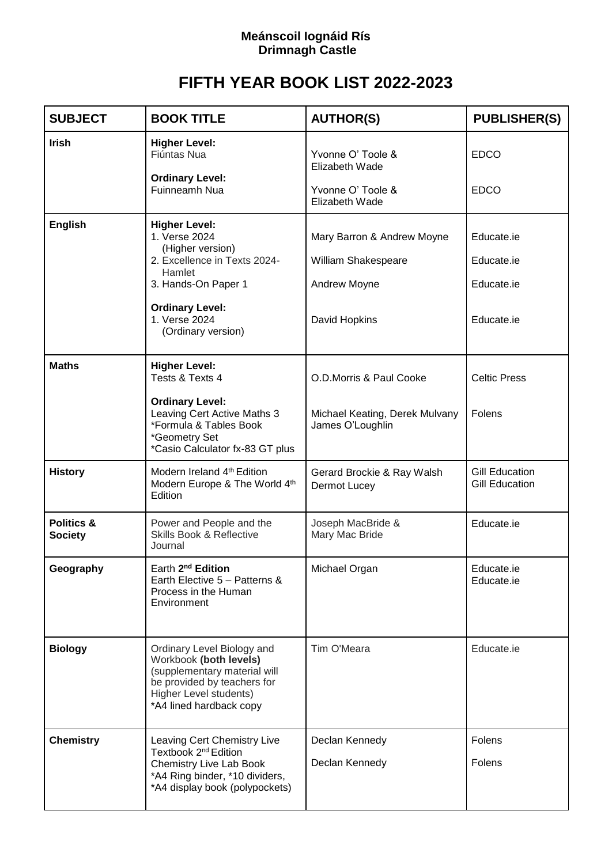## **Meánscoil Iognáid Rís Drimnagh Castle**

## **FIFTH YEAR BOOK LIST 2022-2023**

| <b>SUBJECT</b>                          | <b>BOOK TITLE</b>                                                                                                                                                                           | <b>AUTHOR(S)</b>                                                                   | <b>PUBLISHER(S)</b>                                  |
|-----------------------------------------|---------------------------------------------------------------------------------------------------------------------------------------------------------------------------------------------|------------------------------------------------------------------------------------|------------------------------------------------------|
| <b>Irish</b>                            | <b>Higher Level:</b><br>Fiúntas Nua<br><b>Ordinary Level:</b><br><b>Fuinneamh Nua</b>                                                                                                       | Yvonne O' Toole &<br>Elizabeth Wade<br>Yvonne O' Toole &<br>Elizabeth Wade         | <b>EDCO</b><br><b>EDCO</b>                           |
| <b>English</b>                          | <b>Higher Level:</b><br>1. Verse 2024<br>(Higher version)<br>2. Excellence in Texts 2024-<br>Hamlet<br>3. Hands-On Paper 1<br><b>Ordinary Level:</b><br>1. Verse 2024<br>(Ordinary version) | Mary Barron & Andrew Moyne<br>William Shakespeare<br>Andrew Moyne<br>David Hopkins | Educate.ie<br>Educate.ie<br>Educate.ie<br>Educate.ie |
| <b>Maths</b>                            | <b>Higher Level:</b><br>Tests & Texts 4<br><b>Ordinary Level:</b><br>Leaving Cert Active Maths 3<br>*Formula & Tables Book<br>*Geometry Set<br>*Casio Calculator fx-83 GT plus              | O.D.Morris & Paul Cooke<br>Michael Keating, Derek Mulvany<br>James O'Loughlin      | <b>Celtic Press</b><br>Folens                        |
| <b>History</b>                          | Modern Ireland 4th Edition<br>Modern Europe & The World 4th<br>Edition                                                                                                                      | Gerard Brockie & Ray Walsh<br>Dermot Lucey                                         | <b>Gill Education</b><br><b>Gill Education</b>       |
| <b>Politics &amp;</b><br><b>Society</b> | Power and People and the<br><b>Skills Book &amp; Reflective</b><br>Journal                                                                                                                  | Joseph MacBride &<br>Mary Mac Bride                                                | Educate.ie                                           |
| Geography                               | Earth 2 <sup>nd</sup> Edition<br>Earth Elective 5 - Patterns &<br>Process in the Human<br>Environment                                                                                       | Michael Organ                                                                      | Educate.ie<br>Educate.ie                             |
| <b>Biology</b>                          | Ordinary Level Biology and<br>Workbook (both levels)<br>(supplementary material will<br>be provided by teachers for<br>Higher Level students)<br>*A4 lined hardback copy                    | Tim O'Meara                                                                        | Educate.ie                                           |
| <b>Chemistry</b>                        | Leaving Cert Chemistry Live<br>Textbook 2 <sup>nd</sup> Edition<br>Chemistry Live Lab Book<br>*A4 Ring binder, *10 dividers,<br>*A4 display book (polypockets)                              | Declan Kennedy<br>Declan Kennedy                                                   | Folens<br>Folens                                     |